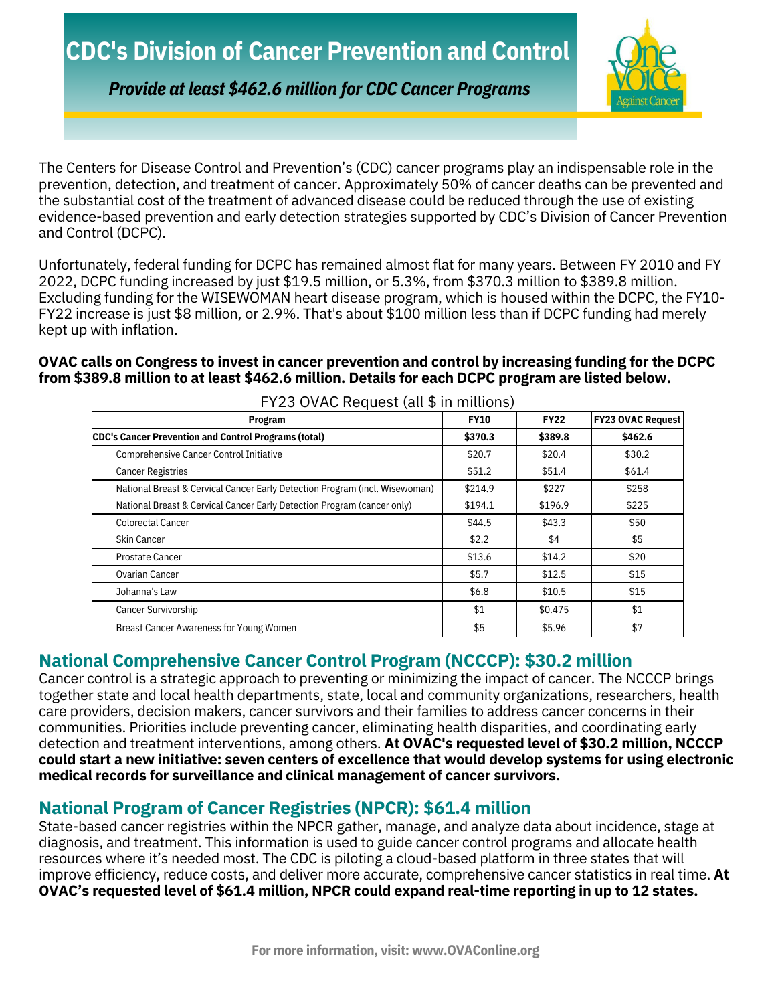

*Provide at least \$462.6 million for CDC Cancer Programs*

The Centers for Disease Control and Prevention's (CDC) cancer programs play an indispensable role in the prevention, detection, and treatment of cancer. Approximately 50% of cancer deaths can be prevented and the substantial cost of the treatment of advanced disease could be reduced through the use of existing evidence-based prevention and early detection strategies supported by CDC's Division of Cancer Prevention and Control (DCPC).

Unfortunately, federal funding for DCPC has remained almost flat for many years. Between FY 2010 and FY 2022, DCPC funding increased by just \$19.5 million, or 5.3%, from \$370.3 million to \$389.8 million. Excluding funding for the WISEWOMAN heart disease program, which is housed within the DCPC, the FY10- FY22 increase is just \$8 million, or 2.9%. That's about \$100 million less than if DCPC funding had merely kept up with inflation.

#### **OVAC calls on Congress to invest in cancer prevention and control by increasing funding for the DCPC from \$389.8 million to at least \$462.6 million. Details for each DCPC program are listed below.**

| FY23 OVAC Request (all \$ in millions)                                      |             |             |                          |
|-----------------------------------------------------------------------------|-------------|-------------|--------------------------|
| <b>Program</b>                                                              | <b>FY10</b> | <b>FY22</b> | <b>FY23 OVAC Request</b> |
| CDC's Cancer Prevention and Control Programs (total)                        | \$370.3     | \$389.8     | \$462.6                  |
| Comprehensive Cancer Control Initiative                                     | \$20.7      | \$20.4      | \$30.2\$                 |
| <b>Cancer Registries</b>                                                    | \$51.2      | \$51.4      | \$61.4                   |
| National Breast & Cervical Cancer Early Detection Program (incl. Wisewoman) | \$214.9     | \$227       | \$258                    |
| National Breast & Cervical Cancer Early Detection Program (cancer only)     | \$194.1     | \$196.9     | \$225                    |
| Colorectal Cancer                                                           | \$44.5      | \$43.3      | \$50                     |
| Skin Cancer                                                                 | \$2.2       | \$4         | \$5                      |
| <b>Prostate Cancer</b>                                                      | \$13.6      | \$14.2      | \$20                     |
| Ovarian Cancer                                                              | \$5.7       | \$12.5      | \$15                     |
| Johanna's Law                                                               | \$6.8\$     | \$10.5      | \$15                     |
| Cancer Survivorship                                                         | \$1         | \$0.475     | \$1                      |
| Breast Cancer Awareness for Young Women                                     | \$5         | \$5.96      | \$7                      |

**National Comprehensive Cancer Control Program (NCCCP): \$30.2 million**

Cancer control is a strategic approach to preventing or minimizing the impact of cancer. The NCCCP brings together state and local health departments, state, local and community organizations, researchers, health care providers, decision makers, cancer survivors and their families to address cancer concerns in their communities. Priorities include preventing cancer, eliminating health disparities, and coordinating early detection and treatment interventions, among others. **At OVAC's requested level of \$30.2 million, NCCCP could start a new initiative: seven centers of excellence that would develop systems for using electronic medical records for surveillance and clinical management of cancer survivors.**

# **National Program of Cancer Registries (NPCR): \$61.4 million**

State-based cancer registries within the NPCR gather, manage, and analyze data about incidence, stage at diagnosis, and treatment. This information is used to guide cancer control programs and allocate health resources where it's needed most. The CDC is piloting a cloud-based platform in three states that will improve efficiency, reduce costs, and deliver more accurate, comprehensive cancer statistics in real time. **At OVAC's requested level of \$61.4 million, NPCR could expand real-time reporting in up to 12 states.**